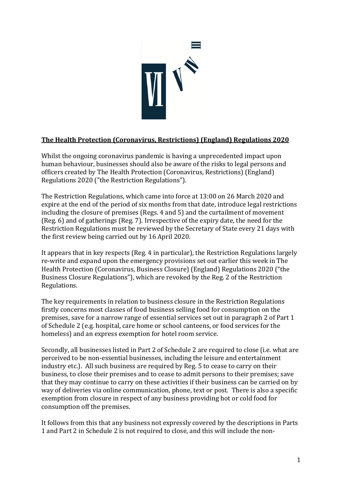

## **The Health Protection (Coronavirus, Restrictions) (England) Regulations 2020**

Whilst the ongoing coronavirus pandemic is having a unprecedented impact upon human behaviour, businesses should also be aware of the risks to legal persons and officers created by The Health Protection (Coronavirus, Restrictions) (England) Regulations 2020 ("the Restriction Regulations").

The Restriction Regulations, which came into force at 13:00 on 26 March 2020 and expire at the end of the period of six months from that date, introduce legal restrictions including the closure of premises (Regs. 4 and 5) and the curtailment of movement (Reg. 6) and of gatherings (Reg. 7). Irrespective of the expiry date, the need for the Restriction Regulations must be reviewed by the Secretary of State every 21 days with the first review being carried out by 16 April 2020.

It appears that in key respects (Reg. 4 in particular), the Restriction Regulations largely re-write and expand upon the emergency provisions set out earlier this week in The Health Protection (Coronavirus, Business Closure) (England) Regulations 2020 ("the Business Closure Regulations"), which are revoked by the Reg. 2 of the Restriction Regulations.

The key requirements in relation to business closure in the Restriction Regulations firstly concerns most classes of food business selling food for consumption on the premises, save for a narrow range of essential services set out in paragraph 2 of Part 1 of Schedule 2 (e.g. hospital, care home or school canteens, or food services for the homeless) and an express exemption for hotel room service.

Secondly, all businesses listed in Part 2 of Schedule 2 are required to close (i.e. what are perceived to be non-essential businesses, including the leisure and entertainment industry etc.). All such business are required by Reg. 5 to cease to carry on their business, to close their premises and to cease to admit persons to their premises; save that they may continue to carry on these activities if their business can be carried on by way of deliveries via online communication, phone, text or post. There is also a specific exemption from closure in respect of any business providing hot or cold food for consumption off the premises.

It follows from this that any business not expressly covered by the descriptions in Parts 1 and Part 2 in Schedule 2 is not required to close, and this will include the non